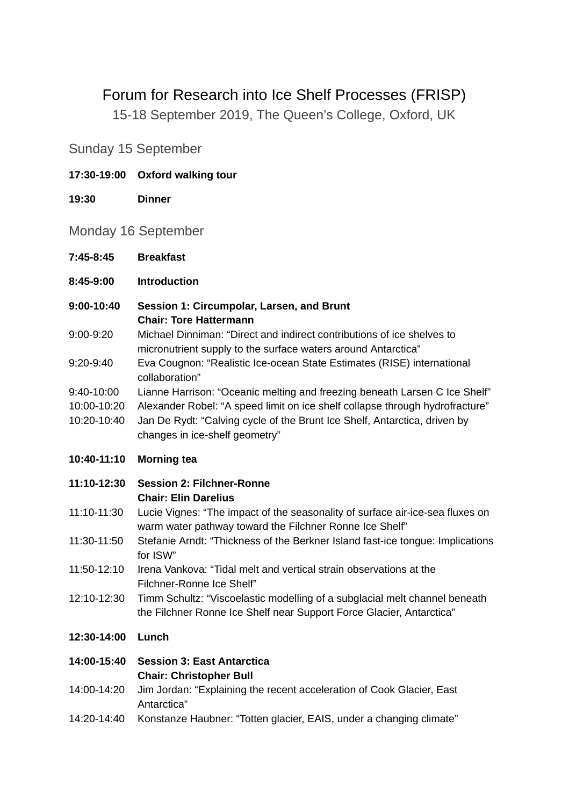# Forum for Research into Ice Shelf Processes (FRISP)

15-18 September 2019, The Queen's College, Oxford, UK

Sunday 15 September

- **17:30-19:00 Oxford walking tour**
- **19:30 Dinner**

Monday 16 September

- **7:45-8:45 Breakfast**
- **8:45-9:00 Introduction**
- **9:00-10:40 Session 1: Circumpolar, Larsen, and Brunt Chair: Tore Hattermann**
- 9:00-9:20 Michael Dinniman: "Direct and indirect contributions of ice shelves to micronutrient supply to the surface waters around Antarctica"
- 9:20-9:40 Eva Cougnon: "Realistic Ice-ocean State Estimates (RISE) international collaboration"
- 9:40-10:00 Lianne Harrison: "Oceanic melting and freezing beneath Larsen C Ice Shelf"
- 10:00-10:20 Alexander Robel: "A speed limit on ice shelf collapse through hydrofracture"
- 10:20-10:40 Jan De Rydt: "Calving cycle of the Brunt Ice Shelf, Antarctica, driven by changes in ice-shelf geometry"
- **10:40-11:10 Morning tea**
- **11:10-12:30 Session 2: Filchner-Ronne Chair: Elin Darelius**
- 11:10-11:30 Lucie Vignes: "The impact of the seasonality of surface air-ice-sea fluxes on warm water pathway toward the Filchner Ronne Ice Shelf"
- 11:30-11:50 Stefanie Arndt: "Thickness of the Berkner Island fast-ice tongue: Implications for ISW"
- 11:50-12:10 Irena Vankova: "Tidal melt and vertical strain observations at the Filchner-Ronne Ice Shelf"
- 12:10-12:30 Timm Schultz: "Viscoelastic modelling of a subglacial melt channel beneath the Filchner Ronne Ice Shelf near Support Force Glacier, Antarctica"

#### **12:30-14:00 Lunch**

#### **14:00-15:40 Session 3: East Antarctica Chair: Christopher Bull**

- 14:00-14:20 Jim Jordan: "Explaining the recent acceleration of Cook Glacier, East Antarctica"
- 14:20-14:40 Konstanze Haubner: "Totten glacier, EAIS, under a changing climate"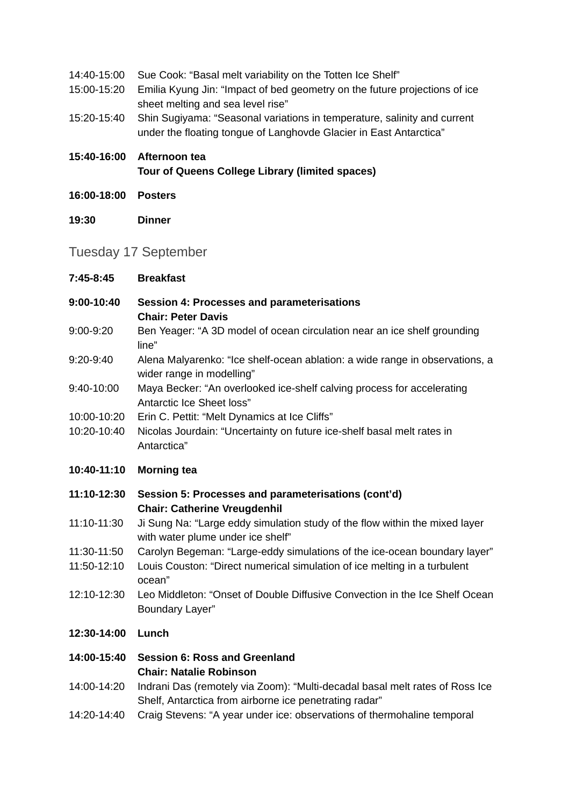- 14:40-15:00 Sue Cook: "Basal melt variability on the Totten Ice Shelf"
- 15:00-15:20 Emilia Kyung Jin: "Impact of bed geometry on the future projections of ice sheet melting and sea level rise"
- 15:20-15:40 Shin Sugiyama: "Seasonal variations in temperature, salinity and current under the floating tongue of Langhovde Glacier in East Antarctica"
- **15:40-16:00 Afternoon tea Tour of Queens College Library (limited spaces)**
- **16:00-18:00 Posters**
- **19:30 Dinner**

## Tuesday 17 September

- **7:45-8:45 Breakfast**
- **9:00-10:40 Session 4: Processes and parameterisations Chair: Peter Davis**
- 9:00-9:20 Ben Yeager: "A 3D model of ocean circulation near an ice shelf grounding line"
- 9:20-9:40 Alena Malyarenko: "Ice shelf-ocean ablation: a wide range in observations, a wider range in modelling"
- 9:40-10:00 Maya Becker: "An overlooked ice-shelf calving process for accelerating Antarctic Ice Sheet loss"
- 10:00-10:20 Erin C. Pettit: "Melt Dynamics at Ice Cliffs"
- 10:20-10:40 Nicolas Jourdain: "Uncertainty on future ice-shelf basal melt rates in Antarctica"

#### **10:40-11:10 Morning tea**

- **11:10-12:30 Session 5: Processes and parameterisations (cont'd) Chair: Catherine Vreugdenhil**
- 11:10-11:30 Ji Sung Na: "Large eddy simulation study of the flow within the mixed layer with water plume under ice shelf"
- 11:30-11:50 Carolyn Begeman: "Large-eddy simulations of the ice-ocean boundary layer"
- 11:50-12:10 Louis Couston: "Direct numerical simulation of ice melting in a turbulent ocean"
- 12:10-12:30 Leo Middleton: "Onset of Double Diffusive Convection in the Ice Shelf Ocean Boundary Layer"

#### **12:30-14:00 Lunch**

#### **14:00-15:40 Session 6: Ross and Greenland Chair: Natalie Robinson**

- 14:00-14:20 Indrani Das (remotely via Zoom): "Multi-decadal basal melt rates of Ross Ice Shelf, Antarctica from airborne ice penetrating radar"
- 14:20-14:40 Craig Stevens: "A year under ice: observations of thermohaline temporal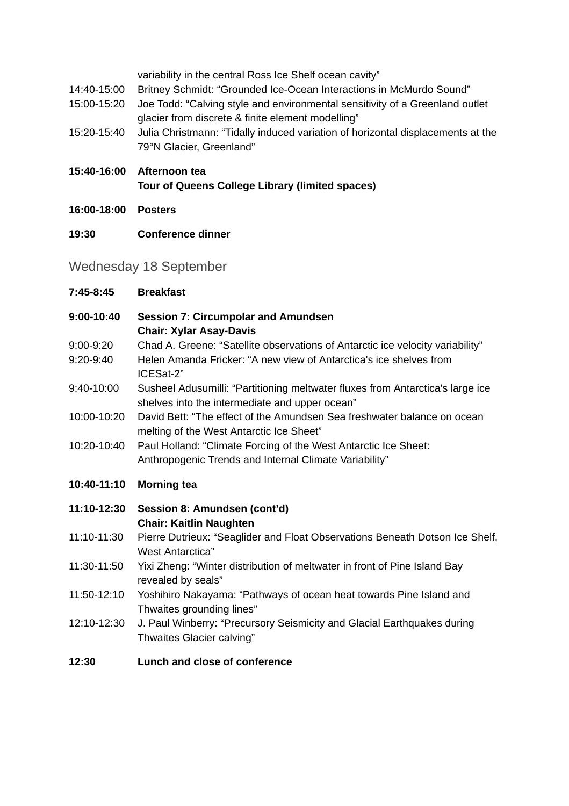variability in the central Ross Ice Shelf ocean cavity"

- 14:40-15:00 Britney Schmidt: "Grounded Ice-Ocean Interactions in McMurdo Sound"
- 15:00-15:20 Joe Todd: "Calving style and environmental sensitivity of a Greenland outlet glacier from discrete & finite element modelling"
- 15:20-15:40 Julia Christmann: "Tidally induced variation of horizontal displacements at the 79°N Glacier, Greenland"
- **15:40-16:00 Afternoon tea**

**Tour of Queens College Library (limited spaces)**

- **16:00-18:00 Posters**
- **19:30 Conference dinner**

## Wednesday 18 September

| 7:45-8:45   | <b>Breakfast</b>                                                                                                                  |
|-------------|-----------------------------------------------------------------------------------------------------------------------------------|
| 9:00-10:40  | <b>Session 7: Circumpolar and Amundsen</b><br><b>Chair: Xylar Asay-Davis</b>                                                      |
| 9:00-9:20   | Chad A. Greene: "Satellite observations of Antarctic ice velocity variability"                                                    |
| 9:20-9:40   | Helen Amanda Fricker: "A new view of Antarctica's ice shelves from<br>ICESat-2"                                                   |
| 9:40-10:00  | Susheel Adusumilli: "Partitioning meltwater fluxes from Antarctica's large ice<br>shelves into the intermediate and upper ocean"  |
| 10:00-10:20 | David Bett: "The effect of the Amundsen Sea freshwater balance on ocean<br>melting of the West Antarctic Ice Sheet"               |
| 10:20-10:40 | Paul Holland: "Climate Forcing of the West Antarctic Ice Sheet:                                                                   |
|             | Anthropogenic Trends and Internal Climate Variability"                                                                            |
|             |                                                                                                                                   |
| 10:40-11:10 | <b>Morning tea</b>                                                                                                                |
| 11:10-12:30 | Session 8: Amundsen (cont'd)                                                                                                      |
|             | <b>Chair: Kaitlin Naughten</b>                                                                                                    |
| 11:10-11:30 | Pierre Dutrieux: "Seaglider and Float Observations Beneath Dotson Ice Shelf,<br><b>West Antarctica</b> "                          |
| 11:30-11:50 | Yixi Zheng: "Winter distribution of meltwater in front of Pine Island Bay<br>revealed by seals"                                   |
| 11:50-12:10 | Yoshihiro Nakayama: "Pathways of ocean heat towards Pine Island and                                                               |
| 12:10-12:30 | Thwaites grounding lines"<br>J. Paul Winberry: "Precursory Seismicity and Glacial Earthquakes during<br>Thwaites Glacier calving" |

### **12:30 Lunch and close of conference**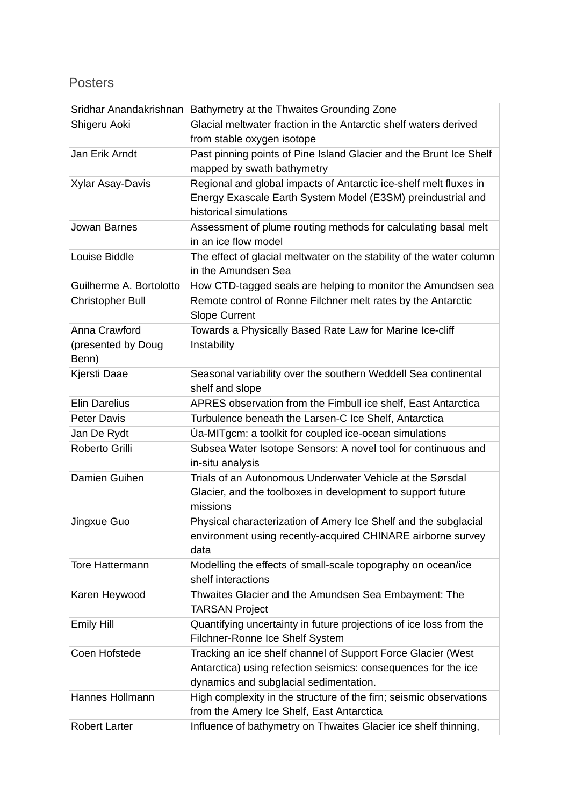# Posters

|                         | Sridhar Anandakrishnan Bathymetry at the Thwaites Grounding Zone                     |  |  |
|-------------------------|--------------------------------------------------------------------------------------|--|--|
| Shigeru Aoki            | Glacial meltwater fraction in the Antarctic shelf waters derived                     |  |  |
|                         | from stable oxygen isotope                                                           |  |  |
| Jan Erik Arndt          | Past pinning points of Pine Island Glacier and the Brunt Ice Shelf                   |  |  |
|                         | mapped by swath bathymetry                                                           |  |  |
| Xylar Asay-Davis        | Regional and global impacts of Antarctic ice-shelf melt fluxes in                    |  |  |
|                         | Energy Exascale Earth System Model (E3SM) preindustrial and                          |  |  |
|                         | historical simulations                                                               |  |  |
| Jowan Barnes            | Assessment of plume routing methods for calculating basal melt                       |  |  |
|                         | in an ice flow model                                                                 |  |  |
| Louise Biddle           | The effect of glacial meltwater on the stability of the water column                 |  |  |
|                         | in the Amundsen Sea                                                                  |  |  |
| Guilherme A. Bortolotto | How CTD-tagged seals are helping to monitor the Amundsen sea                         |  |  |
| <b>Christopher Bull</b> | Remote control of Ronne Filchner melt rates by the Antarctic<br><b>Slope Current</b> |  |  |
| Anna Crawford           | Towards a Physically Based Rate Law for Marine Ice-cliff                             |  |  |
| (presented by Doug      | Instability                                                                          |  |  |
| Benn)                   |                                                                                      |  |  |
| Kjersti Daae            | Seasonal variability over the southern Weddell Sea continental                       |  |  |
|                         | shelf and slope                                                                      |  |  |
| <b>Elin Darelius</b>    | APRES observation from the Fimbull ice shelf, East Antarctica                        |  |  |
| <b>Peter Davis</b>      | Turbulence beneath the Larsen-C Ice Shelf, Antarctica                                |  |  |
| Jan De Rydt             | Úa-MITgcm: a toolkit for coupled ice-ocean simulations                               |  |  |
| Roberto Grilli          | Subsea Water Isotope Sensors: A novel tool for continuous and                        |  |  |
|                         | in-situ analysis                                                                     |  |  |
| Damien Guihen           | Trials of an Autonomous Underwater Vehicle at the Sørsdal                            |  |  |
|                         | Glacier, and the toolboxes in development to support future                          |  |  |
|                         | missions                                                                             |  |  |
| Jingxue Guo             | Physical characterization of Amery Ice Shelf and the subglacial                      |  |  |
|                         | environment using recently-acquired CHINARE airborne survey                          |  |  |
|                         | data                                                                                 |  |  |
| <b>Tore Hattermann</b>  | Modelling the effects of small-scale topography on ocean/ice                         |  |  |
|                         | shelf interactions                                                                   |  |  |
| Karen Heywood           | Thwaites Glacier and the Amundsen Sea Embayment: The                                 |  |  |
|                         | <b>TARSAN Project</b>                                                                |  |  |
| Emily Hill              | Quantifying uncertainty in future projections of ice loss from the                   |  |  |
|                         | Filchner-Ronne Ice Shelf System                                                      |  |  |
| Coen Hofstede           | Tracking an ice shelf channel of Support Force Glacier (West                         |  |  |
|                         | Antarctica) using refection seismics: consequences for the ice                       |  |  |
|                         | dynamics and subglacial sedimentation.                                               |  |  |
| Hannes Hollmann         | High complexity in the structure of the firn; seismic observations                   |  |  |
|                         | from the Amery Ice Shelf, East Antarctica                                            |  |  |
| <b>Robert Larter</b>    | Influence of bathymetry on Thwaites Glacier ice shelf thinning,                      |  |  |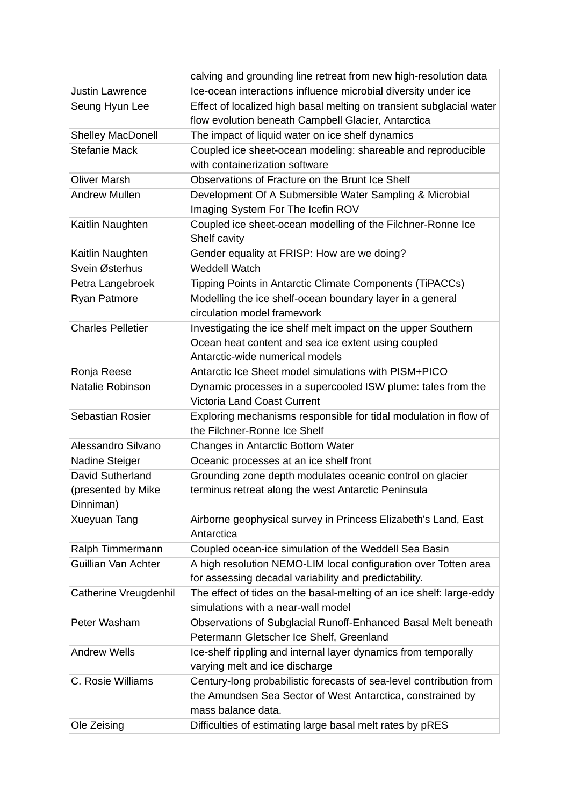|                          | calving and grounding line retreat from new high-resolution data             |  |  |
|--------------------------|------------------------------------------------------------------------------|--|--|
| <b>Justin Lawrence</b>   | Ice-ocean interactions influence microbial diversity under ice               |  |  |
| Seung Hyun Lee           | Effect of localized high basal melting on transient subglacial water         |  |  |
|                          | flow evolution beneath Campbell Glacier, Antarctica                          |  |  |
| <b>Shelley MacDonell</b> | The impact of liquid water on ice shelf dynamics                             |  |  |
| <b>Stefanie Mack</b>     | Coupled ice sheet-ocean modeling: shareable and reproducible                 |  |  |
|                          | with containerization software                                               |  |  |
| <b>Oliver Marsh</b>      | Observations of Fracture on the Brunt Ice Shelf                              |  |  |
| <b>Andrew Mullen</b>     | Development Of A Submersible Water Sampling & Microbial                      |  |  |
|                          | Imaging System For The Icefin ROV                                            |  |  |
| Kaitlin Naughten         | Coupled ice sheet-ocean modelling of the Filchner-Ronne Ice                  |  |  |
|                          | Shelf cavity                                                                 |  |  |
| Kaitlin Naughten         | Gender equality at FRISP: How are we doing?                                  |  |  |
| Svein Østerhus           | <b>Weddell Watch</b>                                                         |  |  |
| Petra Langebroek         | Tipping Points in Antarctic Climate Components (TiPACCs)                     |  |  |
| Ryan Patmore             | Modelling the ice shelf-ocean boundary layer in a general                    |  |  |
|                          | circulation model framework                                                  |  |  |
| <b>Charles Pelletier</b> | Investigating the ice shelf melt impact on the upper Southern                |  |  |
|                          | Ocean heat content and sea ice extent using coupled                          |  |  |
|                          | Antarctic-wide numerical models                                              |  |  |
| Ronja Reese              | Antarctic Ice Sheet model simulations with PISM+PICO                         |  |  |
| Natalie Robinson         | Dynamic processes in a supercooled ISW plume: tales from the                 |  |  |
|                          | <b>Victoria Land Coast Current</b>                                           |  |  |
| Sebastian Rosier         | Exploring mechanisms responsible for tidal modulation in flow of             |  |  |
|                          | the Filchner-Ronne Ice Shelf                                                 |  |  |
| Alessandro Silvano       | Changes in Antarctic Bottom Water                                            |  |  |
| Nadine Steiger           | Oceanic processes at an ice shelf front                                      |  |  |
| David Sutherland         | Grounding zone depth modulates oceanic control on glacier                    |  |  |
| (presented by Mike       | terminus retreat along the west Antarctic Peninsula                          |  |  |
| Dinniman)                |                                                                              |  |  |
| Xueyuan Tang             | Airborne geophysical survey in Princess Elizabeth's Land, East<br>Antarctica |  |  |
| Ralph Timmermann         | Coupled ocean-ice simulation of the Weddell Sea Basin                        |  |  |
| Guillian Van Achter      | A high resolution NEMO-LIM local configuration over Totten area              |  |  |
|                          | for assessing decadal variability and predictability.                        |  |  |
| Catherine Vreugdenhil    | The effect of tides on the basal-melting of an ice shelf: large-eddy         |  |  |
|                          | simulations with a near-wall model                                           |  |  |
| Peter Washam             | Observations of Subglacial Runoff-Enhanced Basal Melt beneath                |  |  |
|                          | Petermann Gletscher Ice Shelf, Greenland                                     |  |  |
| <b>Andrew Wells</b>      | Ice-shelf rippling and internal layer dynamics from temporally               |  |  |
|                          | varying melt and ice discharge                                               |  |  |
| C. Rosie Williams        | Century-long probabilistic forecasts of sea-level contribution from          |  |  |
|                          | the Amundsen Sea Sector of West Antarctica, constrained by                   |  |  |
|                          | mass balance data.                                                           |  |  |
| Ole Zeising              | Difficulties of estimating large basal melt rates by pRES                    |  |  |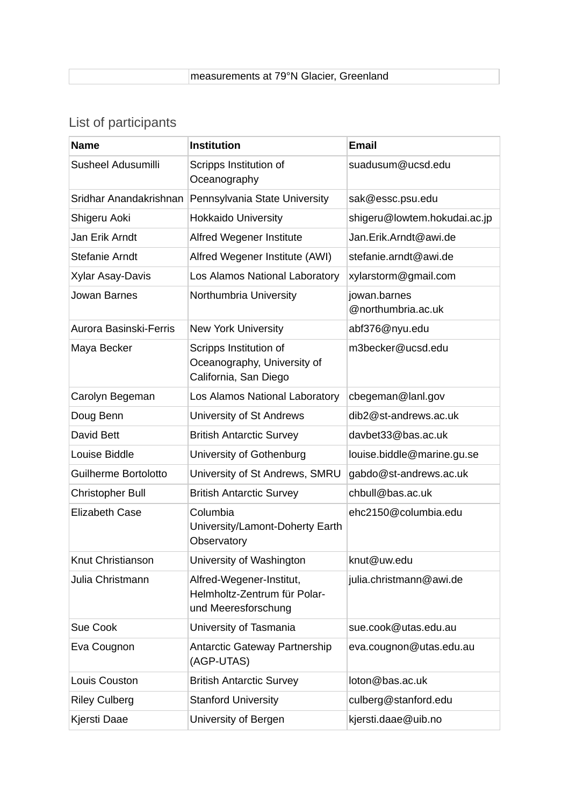|  |  | measurements at 79°N Glacier, Greenland |
|--|--|-----------------------------------------|
|--|--|-----------------------------------------|

# List of participants

| <b>Name</b>            | <b>Institution</b>                                                              | <b>Email</b>                       |
|------------------------|---------------------------------------------------------------------------------|------------------------------------|
| Susheel Adusumilli     | Scripps Institution of<br>Oceanography                                          | suadusum@ucsd.edu                  |
| Sridhar Anandakrishnan | Pennsylvania State University                                                   | sak@essc.psu.edu                   |
| Shigeru Aoki           | <b>Hokkaido University</b>                                                      | shigeru@lowtem.hokudai.ac.jp       |
| Jan Erik Arndt         | Alfred Wegener Institute                                                        | Jan.Erik.Arndt@awi.de              |
| Stefanie Arndt         | Alfred Wegener Institute (AWI)                                                  | stefanie.arndt@awi.de              |
| Xylar Asay-Davis       | Los Alamos National Laboratory                                                  | xylarstorm@gmail.com               |
| Jowan Barnes           | Northumbria University                                                          | jowan.barnes<br>@northumbria.ac.uk |
| Aurora Basinski-Ferris | <b>New York University</b>                                                      | abf376@nyu.edu                     |
| Maya Becker            | Scripps Institution of<br>Oceanography, University of<br>California, San Diego  | m3becker@ucsd.edu                  |
| Carolyn Begeman        | Los Alamos National Laboratory                                                  | cbegeman@lanl.gov                  |
| Doug Benn              | University of St Andrews                                                        | dib2@st-andrews.ac.uk              |
| David Bett             | <b>British Antarctic Survey</b>                                                 | davbet33@bas.ac.uk                 |
| Louise Biddle          | University of Gothenburg                                                        | louise.biddle@marine.gu.se         |
| Guilherme Bortolotto   | University of St Andrews, SMRU                                                  | gabdo@st-andrews.ac.uk             |
| Christopher Bull       | <b>British Antarctic Survey</b>                                                 | chbull@bas.ac.uk                   |
| <b>Elizabeth Case</b>  | Columbia<br>University/Lamont-Doherty Earth<br>Observatory                      | ehc2150@columbia.edu               |
| Knut Christianson      | University of Washington                                                        | knut@uw.edu                        |
| Julia Christmann       | Alfred-Wegener-Institut,<br>Helmholtz-Zentrum für Polar-<br>und Meeresforschung | julia.christmann@awi.de            |
| Sue Cook               | University of Tasmania                                                          | sue.cook@utas.edu.au               |
| Eva Cougnon            | <b>Antarctic Gateway Partnership</b><br>(AGP-UTAS)                              | eva.cougnon@utas.edu.au            |
| Louis Couston          | <b>British Antarctic Survey</b>                                                 | loton@bas.ac.uk                    |
| <b>Riley Culberg</b>   | <b>Stanford University</b>                                                      | culberg@stanford.edu               |
| Kjersti Daae           | University of Bergen                                                            | kjersti.daae@uib.no                |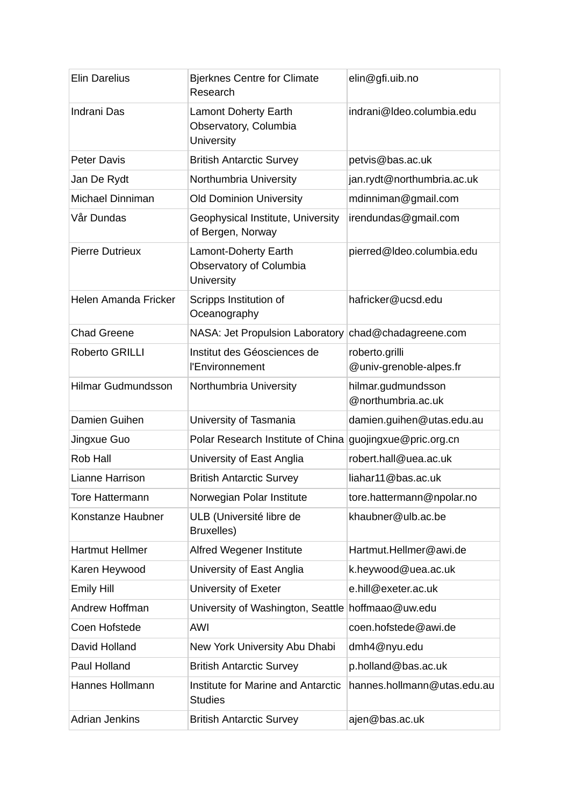| <b>Elin Darelius</b>      | <b>Bjerknes Centre for Climate</b><br>Research                     | elin@gfi.uib.no                           |
|---------------------------|--------------------------------------------------------------------|-------------------------------------------|
| Indrani Das               | <b>Lamont Doherty Earth</b><br>Observatory, Columbia<br>University | indrani@ldeo.columbia.edu                 |
| <b>Peter Davis</b>        | <b>British Antarctic Survey</b>                                    | petvis@bas.ac.uk                          |
| Jan De Rydt               | Northumbria University                                             | jan.rydt@northumbria.ac.uk                |
| Michael Dinniman          | <b>Old Dominion University</b>                                     | mdinniman@gmail.com                       |
| Vår Dundas                | Geophysical Institute, University<br>of Bergen, Norway             | irendundas@gmail.com                      |
| <b>Pierre Dutrieux</b>    | Lamont-Doherty Earth<br>Observatory of Columbia<br>University      | pierred@ldeo.columbia.edu                 |
| Helen Amanda Fricker      | Scripps Institution of<br>Oceanography                             | hafricker@ucsd.edu                        |
| <b>Chad Greene</b>        | NASA: Jet Propulsion Laboratory                                    | chad@chadagreene.com                      |
| Roberto GRILLI            | Institut des Géosciences de<br>l'Environnement                     | roberto.grilli<br>@univ-grenoble-alpes.fr |
| <b>Hilmar Gudmundsson</b> | Northumbria University                                             | hilmar.gudmundsson<br>@northumbria.ac.uk  |
| Damien Guihen             | University of Tasmania                                             | damien.guihen@utas.edu.au                 |
| Jingxue Guo               | Polar Research Institute of China                                  | guojingxue@pric.org.cn                    |
| Rob Hall                  | University of East Anglia                                          | robert.hall@uea.ac.uk                     |
| Lianne Harrison           | <b>British Antarctic Survey</b>                                    | liahar11@bas.ac.uk                        |
| <b>Tore Hattermann</b>    | Norwegian Polar Institute                                          | tore.hattermann@npolar.no                 |
| Konstanze Haubner         | ULB (Université libre de<br>Bruxelles)                             | khaubner@ulb.ac.be                        |
| <b>Hartmut Hellmer</b>    | Alfred Wegener Institute                                           | Hartmut.Hellmer@awi.de                    |
| Karen Heywood             | University of East Anglia                                          | k.heywood@uea.ac.uk                       |
| <b>Emily Hill</b>         | University of Exeter                                               | e.hill@exeter.ac.uk                       |
| Andrew Hoffman            | University of Washington, Seattle                                  | hoffmaao@uw.edu                           |
| Coen Hofstede             | <b>AWI</b>                                                         | coen.hofstede@awi.de                      |
| David Holland             | New York University Abu Dhabi                                      | dmh4@nyu.edu                              |
| Paul Holland              | <b>British Antarctic Survey</b>                                    | p.holland@bas.ac.uk                       |
| Hannes Hollmann           | Institute for Marine and Antarctic<br><b>Studies</b>               | hannes.hollmann@utas.edu.au               |
| <b>Adrian Jenkins</b>     | <b>British Antarctic Survey</b>                                    | ajen@bas.ac.uk                            |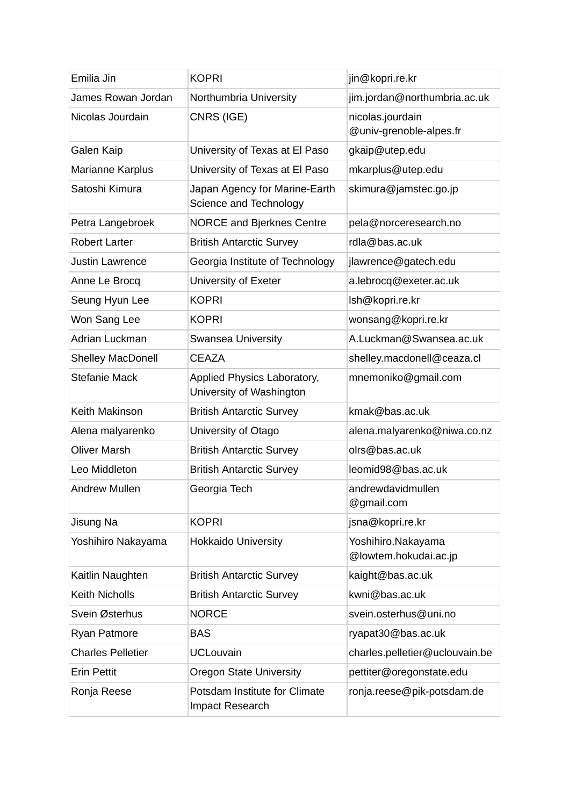| Emilia Jin               | <b>KOPRI</b>                                            | jin@kopri.re.kr                             |
|--------------------------|---------------------------------------------------------|---------------------------------------------|
| James Rowan Jordan       | Northumbria University                                  | jim.jordan@northumbria.ac.uk                |
| Nicolas Jourdain         | CNRS (IGE)                                              | nicolas.jourdain<br>@univ-grenoble-alpes.fr |
| Galen Kaip               | University of Texas at El Paso                          | gkaip@utep.edu                              |
| Marianne Karplus         | University of Texas at El Paso                          | mkarplus@utep.edu                           |
| Satoshi Kimura           | Japan Agency for Marine-Earth<br>Science and Technology | skimura@jamstec.go.jp                       |
| Petra Langebroek         | <b>NORCE and Bjerknes Centre</b>                        | pela@norceresearch.no                       |
| <b>Robert Larter</b>     | <b>British Antarctic Survey</b>                         | rdla@bas.ac.uk                              |
| <b>Justin Lawrence</b>   | Georgia Institute of Technology                         | jlawrence@gatech.edu                        |
| Anne Le Brocq            | University of Exeter                                    | a.lebrocq@exeter.ac.uk                      |
| Seung Hyun Lee           | <b>KOPRI</b>                                            | lsh@kopri.re.kr                             |
| Won Sang Lee             | <b>KOPRI</b>                                            | wonsang@kopri.re.kr                         |
| Adrian Luckman           | Swansea University                                      | A.Luckman@Swansea.ac.uk                     |
| <b>Shelley MacDonell</b> | <b>CEAZA</b>                                            | shelley.macdonell@ceaza.cl                  |
| <b>Stefanie Mack</b>     | Applied Physics Laboratory,<br>University of Washington | mnemoniko@gmail.com                         |
| Keith Makinson           | <b>British Antarctic Survey</b>                         | kmak@bas.ac.uk                              |
| Alena malyarenko         | University of Otago                                     | alena.malyarenko@niwa.co.nz                 |
| <b>Oliver Marsh</b>      | <b>British Antarctic Survey</b>                         | olrs@bas.ac.uk                              |
| Leo Middleton            | <b>British Antarctic Survey</b>                         | leomid98@bas.ac.uk                          |
| <b>Andrew Mullen</b>     | Georgia Tech                                            | andrewdavidmullen<br>@gmail.com             |
| Jisung Na                | <b>KOPRI</b>                                            | jsna@kopri.re.kr                            |
| Yoshihiro Nakayama       | <b>Hokkaido University</b>                              | Yoshihiro.Nakayama<br>@lowtem.hokudai.ac.jp |
| Kaitlin Naughten         | <b>British Antarctic Survey</b>                         | kaight@bas.ac.uk                            |
| <b>Keith Nicholls</b>    | <b>British Antarctic Survey</b>                         | kwni@bas.ac.uk                              |
| Svein Østerhus           | <b>NORCE</b>                                            | svein.osterhus@uni.no                       |
| Ryan Patmore             | <b>BAS</b>                                              | ryapat30@bas.ac.uk                          |
| <b>Charles Pelletier</b> | <b>UCLouvain</b>                                        | charles.pelletier@uclouvain.be              |
| <b>Erin Pettit</b>       | <b>Oregon State University</b>                          | pettiter@oregonstate.edu                    |
| Ronja Reese              | Potsdam Institute for Climate<br>Impact Research        | ronja.reese@pik-potsdam.de                  |